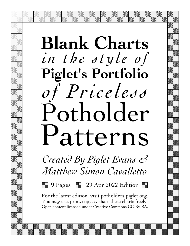## **Blank Charts** *in the style of* **Piglet's Portfolio** *of Priceless* Potholder Patterns

*Created By Piglet Evans & Matthew Simon Cavalletto*

 $\blacksquare$  9 Pages  $\blacksquare$  29 Apr 2022 Edition  $\blacksquare$ 

For the latest edition, visit potholders.piglet.org. You may use, print, copy,  $\&$  share these charts freely. Open content licensed under Creative Commons CC-By-SA.

Piglet's Portfolio of Priceless Potholder Patterns is available for free at potholders.piglet.org. Use, print, and share these charts freely. Licensed under Creative Commons CC-By-SA.

**Blanks** Page 1 29 Apr 2022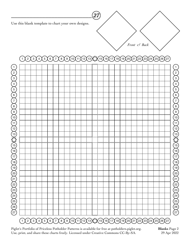

**\_\_\_\_\_\_\_\_\_\_\_\_\_\_\_\_\_\_\_\_\_\_\_\_\_\_**

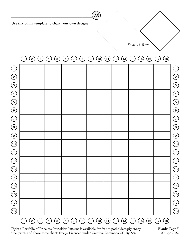**\_\_\_\_\_\_\_\_\_\_\_\_\_\_\_\_\_\_\_\_\_\_\_\_\_\_**



**Blanks** Page 3 29 Apr 2022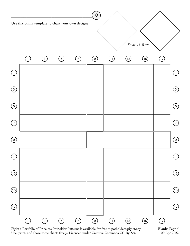**\_\_\_\_\_\_\_\_\_\_\_\_\_\_\_\_\_\_\_\_\_\_\_\_\_\_**



Piglet's Portfolio of Priceless Potholder Patterns is available for free at potholders.piglet.org. Use, print, and share these charts freely. Licensed under Creative Commons CC-By-SA.

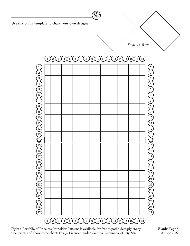**\_\_\_\_\_\_\_\_\_\_\_\_\_\_\_\_\_\_\_\_\_\_\_\_\_\_**



 

Piglet's Portfolio of Priceless Potholder Patterns is available for free at potholders.piglet.org. Use, print, and share these charts freely. Licensed under Creative Commons CC-By-SA.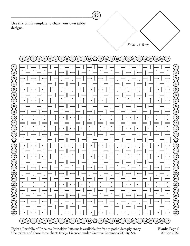**\_\_\_\_\_\_\_\_\_\_\_\_\_\_\_\_\_\_\_\_\_\_\_\_\_\_**

| $(11)(12)(13)\times (15)(16)(17)$<br>$\ensuremath{\mathsf{3}}$<br>$\sqrt{5}$<br>$\,6\,$<br>$\left[8\right]$<br>(9(10)<br>(18)(19)<br>$\mathbf{2}$<br>$\overline{a}$<br>(20)<br>(21<br>23<br>$\frac{24}{ }$<br>25<br>(26)<br>$\overline{7}$<br>22<br>(27) |                                                                                |                                                                                                                       |  |
|----------------------------------------------------------------------------------------------------------------------------------------------------------------------------------------------------------------------------------------------------------|--------------------------------------------------------------------------------|-----------------------------------------------------------------------------------------------------------------------|--|
| $\left(1\right)$<br>$\left( \begin{matrix} 2 \end{matrix} \right)$<br>$\widetilde{\left(3\right)}$<br>$\left(4\right)$<br>$\left(5\right)$<br>$\widehat{6}$                                                                                              | Ш<br>Ш<br>I<br>U<br>Ш<br>I<br>I<br>U<br>Ш<br>I<br>U<br>U                       | $\mathbf{1}$<br>$\sqrt{2}$<br>Π<br>U<br>$\sqrt{3}$<br>Π<br>$\overline{4}$<br>U<br>$\overline{5}$<br>П<br>$\,6\,$<br>U |  |
| $\widehat{Z}$<br>$\left( \begin{matrix} 8 \end{matrix} \right)$<br>$\left( \begin{matrix} 9 \end{matrix} \right)$                                                                                                                                        | I<br>Ш<br>$\begin{bmatrix} \phantom{-}\end{bmatrix}$<br>I                      | $\overline{7}$<br>Π<br>$\overline{8}$<br>U<br>$\left[9\right]$                                                        |  |
| $\widetilde{(\mathrm{10})}$<br>$\widetilde{\mathbb{H}}$                                                                                                                                                                                                  | U<br>Ш<br>I<br>I<br>I<br>U<br>Ш<br>Ш<br>U                                      | П<br>$\left(10\right)$<br>U<br>$\left(1\right)$                                                                       |  |
| $\widetilde{\left(12\right)}$<br>$\widetilde{(\mathbb{13})}$                                                                                                                                                                                             | I<br>$\begin{bmatrix} \phantom{-}\end{bmatrix}$                                | Π<br>$\left(12\right)$<br>U<br>$\widehat{13}$                                                                         |  |
| <b>AMA</b><br>$\widetilde{\mathcal{A}}$                                                                                                                                                                                                                  | Ш<br>I                                                                         | مبر<br>15)<br>15)<br>Л<br>(16)                                                                                        |  |
| $\widetilde{\mathcal{F}}$<br>$\widetilde{\mathcal{A}}$                                                                                                                                                                                                   | U<br>$\begin{bmatrix} \phantom{-} \end{bmatrix}$<br>Ш<br>I<br>I                | U<br>$\widehat{17}$<br>Π<br>$\left(18\right)$<br>U                                                                    |  |
| $\widetilde{\mathcal{F}}$<br>$\widetilde{20}$                                                                                                                                                                                                            | $\begin{bmatrix} \phantom{-}\end{bmatrix}$<br>Ш<br>Ш<br>I<br>Л<br>U<br>U<br>ш  | $\left(19\right)$<br>Л<br>$\left( 20 \right)$<br>U                                                                    |  |
| $\widetilde{21}$<br>$\sum$                                                                                                                                                                                                                               | $\begin{bmatrix} \phantom{-} \end{bmatrix}$<br>U<br>Ш<br>Ш<br>Ш<br>I<br>U<br>U | $\sum_{i=1}^{n}$<br>$\sum_{22}$<br>(23)                                                                               |  |
| $\frac{23}{24}$<br>$\frac{24}{25}$<br>$\frac{25}{27}$                                                                                                                                                                                                    | U                                                                              | $\left(24\right)$                                                                                                     |  |
|                                                                                                                                                                                                                                                          | U                                                                              | $\begin{pmatrix} 25 \\ 26 \\ 27 \end{pmatrix}$                                                                        |  |
| (5)<br>$\frac{2}{\lambda}$<br>$\left(3\right)$<br>(6)<br>(8)<br>$\frac{4}{1}$<br>$\sqrt{7}$                                                                                                                                                              |                                                                                |                                                                                                                       |  |

*Front & Back*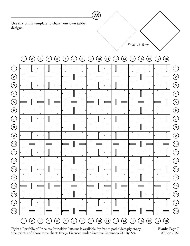**\_\_\_\_\_\_\_\_\_\_\_\_\_\_\_\_\_\_\_\_\_\_\_\_\_\_**



**Blanks** Page 7 29 Apr 2022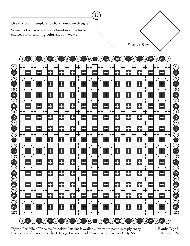**\_\_\_\_\_\_\_\_\_\_\_\_\_\_\_\_\_\_\_\_\_\_\_\_\_\_**

Some grid squares are pre-colored to show forced choices for alternating-color shadow weave.



*Front & Back*

Piglet's Portfolio of Priceless Potholder Patterns is available for free at potholders.piglet.org. Use, print, and share these charts freely. Licensed under Creative Commons CC-By-SA.

**Blanks** Page 8 29 Apr 2022